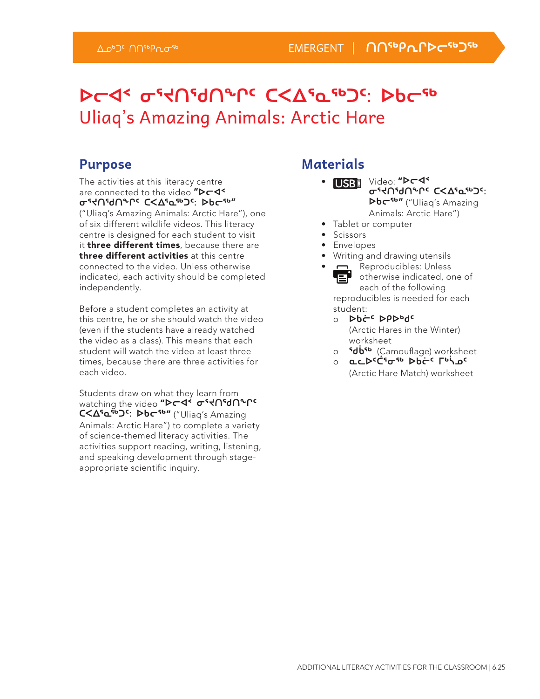## **ᐅᓕᐊᑉ ᓂᕐᔪᑎᖁᑎᖕᒋᑦ ᑕᐸᐃᕐᓇᖅᑐᑦ: ᐅᑲᓕᖅ**  Uliaq's Amazing Animals: Arctic Hare

### **Purpose**

The activities at this literacy centre are connected to the video "**DC4\* ᓂᕐᔪᑎᖁᑎᖕᒋᑦ ᑕᐸᐃᕐᓇᖅᑐᑦ: ᐅᑲᓕᖅ**" ("Uliaq's Amazing Animals: Arctic Hare"), one of six different wildlife videos. This literacy centre is designed for each student to visit it three different times, because there are three different activities at this centre connected to the video. Unless otherwise indicated, each activity should be completed independently.

Before a student completes an activity at this centre, he or she should watch the video (even if the students have already watched the video as a class). This means that each student will watch the video at least three times, because there are three activities for each video.

Students draw on what they learn from watching the video "DC4< σ' 40'd0°P" **ᑕᐸᐃᕐᓇᖅᑐᑦ: ᐅᑲᓕᖅ**" ("Uliaq's Amazing Animals: Arctic Hare") to complete a variety of science-themed literacy activities. The activities support reading, writing, listening, and speaking development through stageappropriate scientific inquiry.

## **Materials**

- USB<sup>I</sup> Video: "Dr4" **ᓂᕐᔪᑎᖁᑎᖕᒋᑦ ᑕᐸᐃᕐᓇᖅᑐᑦ: ᐅᑲᓕᖅ**" ("Uliaq's Amazing Animals: Arctic Hare")
- Tablet or computer
- Scissors
- Envelopes
- Writing and drawing utensils
- **n** Reproducibles: Unless otherwise indicated, one of each of the following reproducibles is needed for each student:
	- ⊙ Db<del>i</del>c DPDbdc (Arctic Hares in the Winter) worksheet
	- o **Sdb<sup>sb</sup>** (Camouflage) worksheet
- ⊙ **ِ ܘ ܒܠ**ܐ `
د هادان محد الله عن الله عن الله عن الله عن الله عن الله عن الله عن الله عن الله عن الله عن الله عن
	- (Arctic Hare Match) worksheet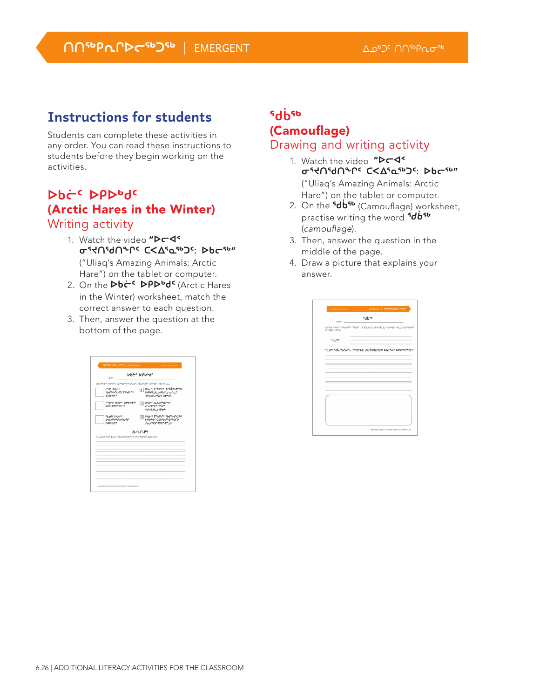## **Instructions for students**

Students can complete these activities in any order. You can read these instructions to students before they begin working on the activities.

### **ᐅᑲᓖᑦ ᐅᑭᐅᒃᑯᑦ**  (Arctic Hares in the Winter) Writing activity

- 1. Watch the video "**PCS' ᓂᕐᔪᑎᖁᑎᖕᒋᑦ ᑕᐸᐃᕐᓇᖅᑐᑦ: ᐅᑲᓕᖅ**" ("Uliaq's Amazing Animals: Arctic Hare") on the tablet or computer.
- 2. On the **Dbc<sup>c</sup> DPDbd<sup>c</sup>** (Arctic Hares in the Winter) worksheet, match the correct answer to each question.
- 3. Then, answer the question at the bottom of the page.

| <b>NUMBUDGMOM   ENERGENT</b>                                   | April 00996.09                                                                             |  |
|----------------------------------------------------------------|--------------------------------------------------------------------------------------------|--|
| <b>Dhes</b> DPDbds<br>$-90%$                                   |                                                                                            |  |
| CLYPOFF PPYCH KAPYOPPASSOR, KGGOP KAPIN PPCFOJ,                |                                                                                            |  |
| <b>PHS Dhes</b><br><b>יון קייליקופי רייקיקיי</b><br>DPDbdS2    | I bbie rondere bondevalose<br>PPÞ ش <sup>م</sup> اه د <sup>ی</sup> له است<br>deptheasuress |  |
| MEC POCSPPEC<br><b>DPPdSbmPcS?</b>                             | 2 Phi a alkadin<br><b>ση Φερουρο</b><br>イムイレマレン ぐんか                                        |  |
| Shing of the<br><b><i>OUTPLAND ANGL</i></b><br><b>D-PD-MC2</b> | 3 Dbite Federus sbdeethyle<br><b>DPDMS</b> CdbSa2a64020b<br><b>Λα/ΜΠΡΟΜΕΛΡΑΩς</b>          |  |
|                                                                |                                                                                            |  |
| <b>A</b> <sub>LCJ</sub> <sub>b!</sub>                          |                                                                                            |  |
|                                                                |                                                                                            |  |
| <b><i>BLOANSPIRE PHER BORPHERMENT FROM PRIMARY</i></b>         |                                                                                            |  |
|                                                                |                                                                                            |  |
|                                                                |                                                                                            |  |
|                                                                |                                                                                            |  |
|                                                                |                                                                                            |  |
|                                                                |                                                                                            |  |
|                                                                |                                                                                            |  |
|                                                                |                                                                                            |  |

## sdbsb

#### (Camouflage) Drawing and writing activity

- 1. Watch the video "D<sub>C</sub>4\* **ᓂᕐᔪᑎᖁᑎᖕᒋᑦ ᑕᐸᐃᕐᓇᖅᑐᑦ: ᐅᑲᓕᖅ**" ("Uliaq's Amazing Animals: Arctic Hare") on the tablet or computer.
- 2. On the **Sdb<sup>sb</sup>** (Camouflage) worksheet, practise writing the word *db<sup>5b</sup>* (camouflage).
- 3. Then, answer the question in the middle of the page.
- 4. Draw a picture that explains your answer.

| 4.00 memor        | EMERGENT   MO <sup>to</sup> PAPDC <sup>16</sup> 256     |
|-------------------|---------------------------------------------------------|
| d/m.              | sdbsp                                                   |
| PHONE DPNL        | MASUPAN'S DIBOUTS "YOU" MASULAS POCT JU SAMA SILJ MASOS |
| edp <sub>ap</sub> |                                                         |
|                   |                                                         |
|                   |                                                         |
|                   |                                                         |
|                   |                                                         |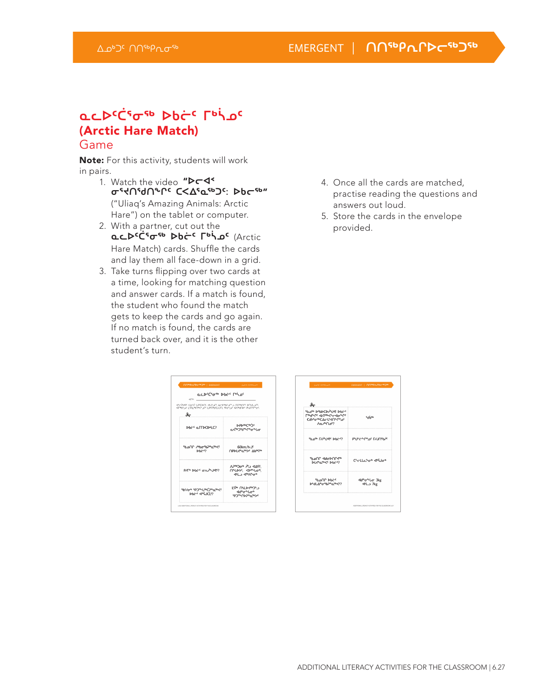### **ᓇᓚᐅᑦᑖᕐᓂᖅ ᐅᑲᓖᑦ ᒥᒃᓵᓄᑦ**  (Arctic Hare Match) Game

Note: For this activity, students will work in pairs.

- 1. Watch the video "D<sub>C</sub>4\* **ᓂᕐᔪᑎᖁᑎᖕᒋᑦ ᑕᐸᐃᕐᓇᖅᑐᑦ: ᐅᑲᓕᖅ**" ("Uliaq's Amazing Animals: Arctic Hare") on the tablet or computer.
- 2. With a partner, cut out the **ᓇᓚᐅᑦᑖᕐᓂᖅ ᐅᑲᓖᑦ ᒥᒃᓵᓄᑦ** (Arctic Hare Match) cards. Shuffle the cards and lay them all face-down in a grid.
- 3. Take turns flipping over two cards at a time, looking for matching question and answer cards. If a match is found, the student who found the match gets to keep the cards and go again. If no match is found, the cards are turned back over, and it is the other student's turn.
	- ac D<sup>e</sup>Ć<sup>e</sup>σ<sup>ε</sup> Dbć <sup>ε</sup> Γυλος ።<br>የሌላ የምክርያ አገራል። በአሜሪካ የአማርኛ የአገራት አገራት አንዱን የምርትታው<br>የአማርባ አን የብኩዎልያ ጌታ የአማርና የአገራችን የአማርባዎች አለማት አለማት  $\partial_{\tau}$ ᠘ᡪᢠ᠑ᡒ᠗ᢞ<br>ᢧ᠀᠉ᡨ᠙ᢐ᠅ bbi<sup>-c</sup> aFFDCD4LC? ף קב<sub>י</sub>אסשר לאף בינ<br>גרין לא<sup>ס</sup>יקלא COkm/h-Je<br>OPDLzhodeby Absche ۹۵۹ د<sup>یز</sup> ۱۳۶۰ ۸۶<br>۵۳۹ ۰٫۹۷۴۰ ۸۴۰<br>۹۴۵۸ د ۹۴۳ PAP Dhès an Autres <sup>ק</sup>פאירופאייקאי<br>קייריקאירי<br>הארופאיקאידיקא לאסיי יוסייעייטריפי<br>דאליי שיקורנדי
- 4. Once all the cards are matched, practise reading the questions and answers out loud.
- 5. Store the cards in the envelope provided.

| ୫÷                                                                                                                                                              |                                                                  |
|-----------------------------------------------------------------------------------------------------------------------------------------------------------------|------------------------------------------------------------------|
| Shose DSbDCD JUR Dbc-<br>Lae9ماند ⊲4/Sep <c⊏d¤مان<br>CdysaseCAcL'sONPage<br/><math>\Lambda</math>a d<sup>b</sup><math>\Lambda</math>a<sup>c</sup>?</c⊏d¤مان<br> | edp <sub>ep</sub>                                                |
| <b>Show Elisher Dhi-O</b>                                                                                                                                       | <b>Prischane ENDShie</b>                                         |
| <b>PAOL PAPDUGE</b><br><b>Divented Department</b>                                                                                                               | כיכנוכי <sub>ס</sub> שיקוסי                                      |
| <b>Sbonney</b><br>bsdLAagsbPagsb <c></c>                                                                                                                        | <d<sup>ασ<sup>4</sup> Lσ 3kg<br/><l→ 7kg<="" td=""></l→></d<sup> |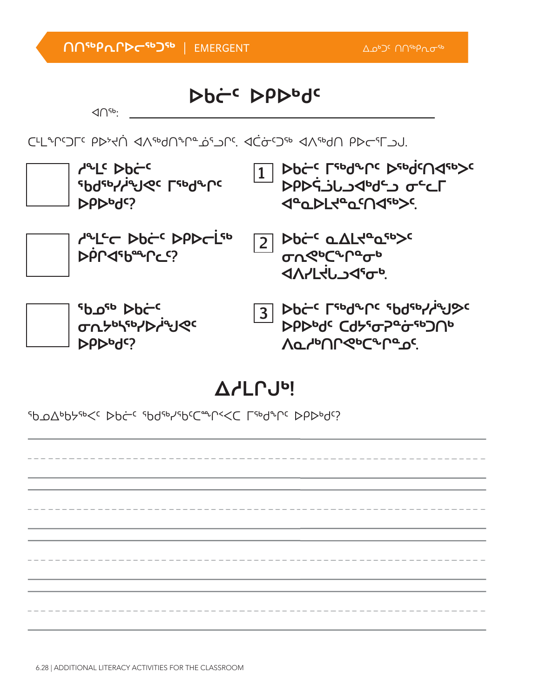ᖃᓄᐃᒃᑲᔭᖅᐸᑦ ᐅᑲᓖᑦ ᖃᑯᖅᓯᖃᑦᑕᙱᑉᐸᑕ ᒥᖅᑯᖏᑦ ᐅᑭᐅᒃᑯᑦ?

# **ᐃᓱᒪᒋᒍᒃ!**

**ᖃᓄᖅ ᐅᑲᓖᑦ JUC ᐅᑭᐅᒃᑯᑦ?**

**3** DOC Leadely applicant C **ᐅᑭᐅᒃᑯᑦ ᑕᑯᔭᕐᓂᕈᓐᓃᖅᑐᑎᒃ ᐱᓇᓱᒃᑎᒋᕙᒃᑕᖏᓐᓄᑦ.**

**ᐊᐱᓯᒪᔫᒐᓗᐊᕐᓂᒃ.**

**ᓱᖕᒪᓪᓕ ᐅᑲᓖᑦ ᐅᑭᐅᓕᒫᖅ 2 ᐅᑮᒋᐊᖃᖖᒋᓚᑦ?**  $\overline{2}$  Þbċ<sup>ϲ</sup> αΔL⊀ªα<sup>ςь</sup>><sup>ϲ</sup> თავალებურ



**ᓱᖕᒪᑦ ᐅᑲᓖᑦ ᖃᑯᖅᓯᓲᖑᕙᑦ ᒥᖅᑯᖏᑦ ᐅᑭᐅᒃᑯᑦ?**

**ᐅᑲᓖᑦ ᒥᖅᑯᖏᑦ ᐅᖅᑰᑦᑎᐊᖅᐳᑦ ᐅᑭᐅᕌᓘᒐᓗᐊᒃᑯᓪᓗ ᓂᓪᓚᒥ ᐊᓐᓇᐅᒪᔪᓐᓇᑦᑎᐊᖅᐳᑦ. 1**

ᑕᒻᒪᖕᒋᑦᑐᒥᑦ ᑭᐅᔾᔪᑏ ᐊᐱᖅᑯᑎᖕᒋᓐᓅᕐᓗᒋᑦ. ᐊᑖᓃᑦᑐᖅ ᐊᐱᖅᑯᑎ ᑭᐅᓕᕐᒥᓗᒍ.

ᐊᑎᖅ:

**ᐅᑲᓖᑦ ᐅᑭᐅᒃᑯᑦ**

**ᑎᑎᖅᑭᕆᒋᐅᓕᖅᑐᖅ** | EMERGENT ᐃᓄᒃᑐᑦ ᑎᑎᖅᑭᕆᓂᖅ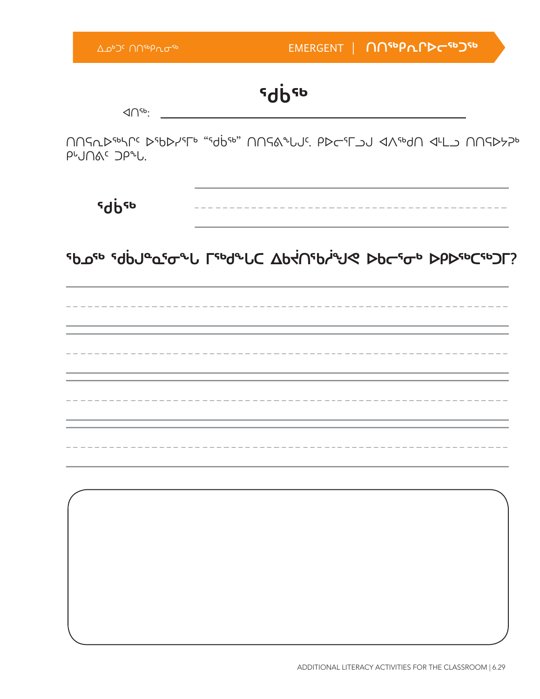| Δ <sup>Ορ</sup> Ο <sup>ς</sup> ΠΠ <sup>ερ</sup> ΡΛσ <sup>ερ</sup> |                                                              | EMERGENT   MN <sup>56</sup> PnPC56 |
|-------------------------------------------------------------------|--------------------------------------------------------------|------------------------------------|
| $\triangleleft\bigcap$ <sup>Sb</sup> : __                         | sdp <sub>sp</sub>                                            |                                    |
| PLJNAC JPLU.                                                      | MASUP CHAPPP "SUBS" MASALUS. PDCSL JJ ANSPUN ALL MASPHP"     |                                    |
| <b>Sdbsb</b>                                                      |                                                              |                                    |
|                                                                   | <b>SPASS SUBJACTAL FINALLE ADRICINALLY POCTOP PADSOCEDT?</b> |                                    |
|                                                                   |                                                              |                                    |
|                                                                   |                                                              |                                    |
|                                                                   |                                                              |                                    |
|                                                                   |                                                              |                                    |
|                                                                   |                                                              |                                    |
|                                                                   |                                                              |                                    |
|                                                                   |                                                              |                                    |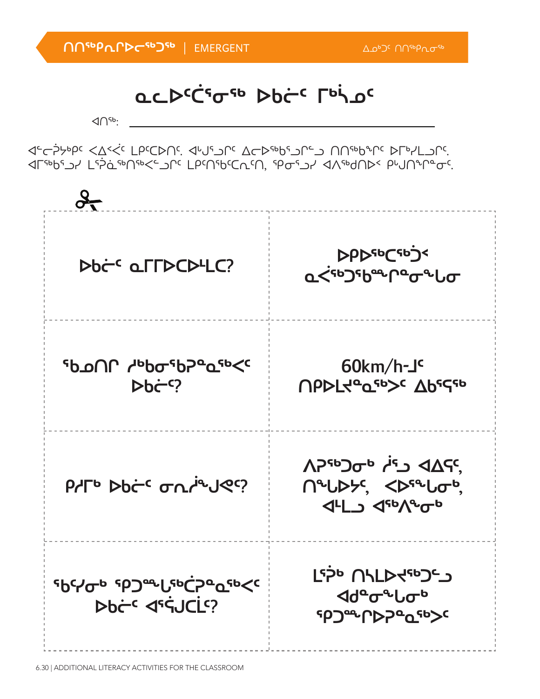

ᐊᓪᓕᕉᔭᒃᑭᑦ ᐸᐃᑉᐹᑦ ᒪᑭᑦᑕᐅᑎᑦ. ᐊᒡᒍᕐᓗᒋᑦ ᐃᓕᐅᖅᑲᕐᓗᒋᓪᓗ ᑎᑎᖅᑲᖕᒋᑦ ᐅᒥᒃᓯᒪᓗᒋᑦ. ⊲Гª♭ъº ריים 1∆ייט 4∧ºת רוכים 100 יכים 1000 יכים 1000 לכים 1000.

 $\triangleleft$ 

## **ᓇᓚᐅᑦᑖᕐᓂᖅ ᐅᑲᓖᑦ ᒥᒃᓵᓄᑦ**

**ᑎᑎᖅᑭᕆᒋᐅᓕᖅᑐᖅ** | EMERGENT ᐃᓄᒃᑐᑦ ᑎᑎᖅᑭᕆᓂᖅ